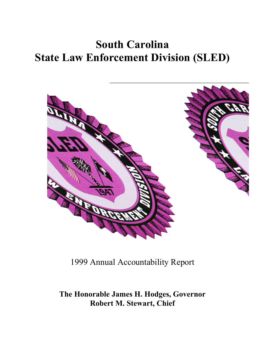# **South Carolina State Law Enforcement Division (SLED)**



1999 Annual Accountability Report

**The Honorable James H. Hodges, Governor Robert M. Stewart, Chief**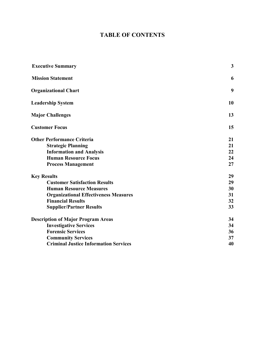# **TABLE OF CONTENTS**

| <b>Executive Summary</b>                     | 3  |
|----------------------------------------------|----|
| <b>Mission Statement</b>                     | 6  |
| <b>Organizational Chart</b>                  | 9  |
| <b>Leadership System</b>                     | 10 |
| <b>Major Challenges</b>                      | 13 |
| <b>Customer Focus</b>                        | 15 |
| <b>Other Performance Criteria</b>            | 21 |
| <b>Strategic Planning</b>                    | 21 |
| <b>Information and Analysis</b>              | 22 |
| <b>Human Resource Focus</b>                  | 24 |
| <b>Process Management</b>                    | 27 |
| <b>Key Results</b>                           | 29 |
| <b>Customer Satisfaction Results</b>         | 29 |
| <b>Human Resource Measures</b>               | 30 |
| <b>Organizational Effectiveness Measures</b> | 31 |
| <b>Financial Results</b>                     | 32 |
| <b>Supplier/Partner Results</b>              | 33 |
| <b>Description of Major Program Areas</b>    | 34 |
| <b>Investigative Services</b>                | 34 |
| <b>Forensic Services</b>                     | 36 |
| <b>Community Services</b>                    | 37 |
| <b>Criminal Justice Information Services</b> | 40 |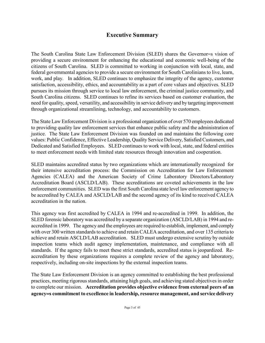# **Executive Summary**

The South Carolina State Law Enforcement Division (SLED) shares the Governor=s vision of providing a secure environment for enhancing the educational and economic well-being of the citizens of South Carolina. SLED is committed to working in conjunction with local, state, and federal governmental agencies to provide a secure environment for South Carolinians to live, learn, work, and play. In addition, SLED continues to emphasize the integrity of the agency, customer satisfaction, accessibility, ethics, and accountability as a part of core values and objectives. SLED pursues its mission through service to local law enforcement, the criminal justice community, and South Carolina citizens. SLED continues to refine its services based on customer evaluation, the need for quality, speed, versatility, and accessibility in service delivery and by targeting improvement through organizational streamlining, technology, and accountability to customers.

The State Law Enforcement Division is a professional organization of over 570 employees dedicated to providing quality law enforcement services that enhance public safety and the administration of justice. The State Law Enforcement Division was founded on and maintains the following core values: Public Confidence, Effective Leadership, Quality Service Delivery, Satisfied Customers, and Dedicated and Satisfied Employees. SLED continues to work with local, state, and federal entities to meet enforcement needs with limited state resources through innovation and cooperation.

SLED maintains accredited status by two organizations which are internationally recognized for their intensive accreditation process: the Commission on Accreditation for Law Enforcement Agencies (CALEA) and the American Society of Crime Laboratory Directors/Laboratory Accreditation Board (ASCLD/LAB). These accreditations are coveted achievements in the law enforcement communities. SLED was the first South Carolina state level law enforcement agency to be accredited by CALEA and ASCLD/LAB and the second agency of its kind to received CALEA accreditation in the nation.

This agency was first accredited by CALEA in 1994 and re-accredited in 1999. In addition, the SLED forensic laboratory was accredited by a separate organization (ASCLD/LAB) in 1994 and reaccredited in 1999. The agency and the employees are required to establish, implement, and comply with over 300 written standards to achieve and retain CALEA accreditation, and over 135 criteria to achieve and retain ASCLD/LAB accreditation. SLED must undergo extensive scrutiny by outside inspection teams which audit agency implementation, maintenance, and compliance with all standards. If the agency fails to meet these strict standards, accredited status is jeopardized. Reaccreditation by these organizations requires a complete review of the agency and laboratory, respectively, including on-site inspections by the external inspection teams.

The State Law Enforcement Division is an agency committed to establishing the best professional practices, meeting rigorous standards, attaining high goals, and achieving stated objectives in order to complete our mission. **Accreditation provides objective evidence from external peers of an agency**=**s commitment to excellence in leadership, resource management, and service delivery**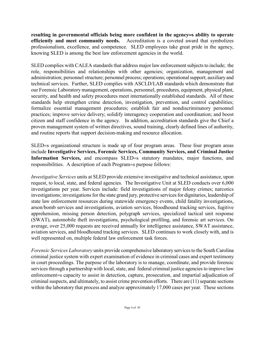**resulting in governmental officials being more confident in the agency**=**s ability to operate efficiently and meet community needs.** Accreditation is a coveted award that symbolizes professionalism, excellence, and competence. SLED employees take great pride in the agency, knowing SLED is among the best law enforcement agencies in the world.

SLED complies with CALEA standards that address major law enforcement subjects to include; the role, responsibilities and relationships with other agencies; organization, management and administration; personnel structure; personnel process; operations; operational support; auxiliary and technical services. Further, SLED complies with ASCLD/LAB standards which demonstrate that our Forensic Laboratory management, operations, personnel, procedures, equipment, physical plant, security, and health and safety procedures meet internationally established standards. All of these standards help strengthen crime detection, investigation, prevention, and control capabilities; formalize essential management procedures; establish fair and nondiscriminatory personnel practices; improve service delivery; solidify interagency cooperation and coordination; and boost citizen and staff confidence in the agency. In addition, accreditation standards give the Chief a proven management system of written directives, sound training, clearly defined lines of authority, and routine reports that support decision-making and resource allocation.

SLED=s organizational structure is made up of four program areas. These four program areas include **Investigative Services, Forensic Services, Community Services, and Criminal Justice Information Services,** and encompass SLED=s statutory mandates, major functions, and responsibilities. A description of each Program=s purpose follows:

*Investigative Services* units at SLED provide extensive investigative and technical assistance, upon request, to local, state, and federal agencies. The Investigative Unit at SLED conducts over 6,000 investigations per year. Services include: field investigations of major felony crimes; narcotics investigations; investigations for the state grand jury, protective services for dignitaries, leadership of state law enforcement resources during statewide emergency events, child fatality investigations, arson/bomb services and investigations, aviation services, bloodhound tracking services, fugitive apprehension, missing person detection, polygraph services, specialized tactical unit response (SWAT), automobile theft investigations, psychological profiling, and forensic art services. On average, over 25,000 requests are received annually for intelligence assistance, SWAT assistance, aviation services, and bloodhound tracking services. SLED continues to work closely with, and is well represented on, multiple federal law enforcement task forces.

*Forensic Services Laboratory* units provide comprehensive laboratory services to the South Carolina criminal justice system with expert examination of evidence in criminal cases and expert testimony in court proceedings. The purpose of the laboratory is to manage, coordinate, and provide forensic services through a partnership with local, state, and federal criminal justice agencies to improve law enforcement=s capacity to assist in detection, capture, prosecution, and impartial adjudication of criminal suspects, and ultimately, to assist crime prevention efforts. There are (11) separate sections within the laboratory that process and analyze approximately 17,000 cases per year. These sections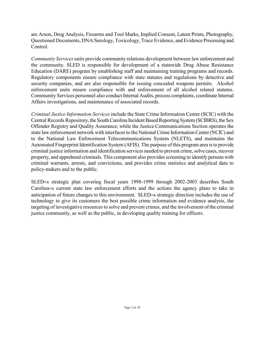are Arson, Drug Analysis, Firearms and Tool Marks, Implied Consent, Latent Prints, Photography, Questioned Documents, DNA/Serology, Toxicology, Trace Evidence, and Evidence Processing and Control.

*Community Services* units provide community relations development between law enforcement and the community. SLED is responsible for development of a statewide Drug Abuse Resistance Education (DARE) program by establishing staff and maintaining training programs and records. Regulatory components ensure compliance with state statutes and regulations by detective and security companies, and are also responsible for issuing concealed weapons permits. Alcohol enforcement units ensure compliance with and enforcement of all alcohol related statutes. Community Services personnel also conduct Internal Audits, process complaints, coordinate Internal Affairs investigations, and maintenance of associated records.

*Criminal Justice Information Services* include the State Crime Information Center (SCIC) with the Central Records Repository, the South Carolina Incident Based Reporting System (SCIBRS), the Sex Offender Registry and Quality Assurance; while the Justice Communications Section operates the state law enforcement network with interfaces to the National Crime Information Center (NCIC) and to the National Law Enforcement Telecommunications System (NLETS), and maintains the Automated Fingerprint Identification System (AFIS). The purpose of this program area is to provide criminal justice information and identification services needed to prevent crime, solve cases, recover property, and apprehend criminals. This component also provides screening to identify persons with criminal warrants, arrests, and convictions, and provides crime statistics and analytical data to policy-makers and to the public.

SLED=s strategic plan covering fiscal years 1998-1999 through 2002-2003 describes South Carolina=s current state law enforcement efforts and the actions the agency plans to take in anticipation of future changes to this environment. SLED=s strategic direction includes the use of technology to give its customers the best possible crime information and evidence analysis, the targeting of investigative resources to solve and prevent crimes, and the involvement of the criminal justice community, as well as the public, in developing quality training for officers.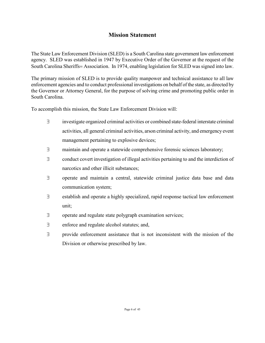# **Mission Statement**

The State Law Enforcement Division (SLED) is a South Carolina state government law enforcement agency. SLED was established in 1947 by Executive Order of the Governor at the request of the South Carolina Sheriffs= Association. In 1974, enabling legislation for SLED was signed into law.

The primary mission of SLED is to provide quality manpower and technical assistance to all law enforcement agencies and to conduct professional investigations on behalf of the state, as directed by the Governor or Attorney General, for the purpose of solving crime and promoting public order in South Carolina.

To accomplish this mission, the State Law Enforcement Division will:

- ∃ investigate organized criminal activities or combined state-federal interstate criminal activities, all general criminal activities, arson criminal activity, and emergency event management pertaining to explosive devices;
- ∃ maintain and operate a statewide comprehensive forensic sciences laboratory;
- ∃ conduct covert investigation of illegal activities pertaining to and the interdiction of narcotics and other illicit substances;
- ∃ operate and maintain a central, statewide criminal justice data base and data communication system;
- ∃ establish and operate a highly specialized, rapid response tactical law enforcement unit;
- ∃ operate and regulate state polygraph examination services;
- ∃ enforce and regulate alcohol statutes; and,
- ∃ provide enforcement assistance that is not inconsistent with the mission of the Division or otherwise prescribed by law.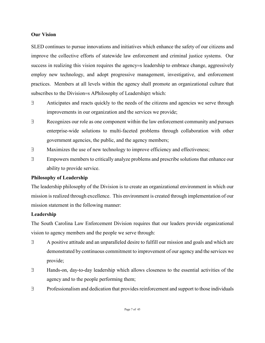#### **Our Vision**

SLED continues to pursue innovations and initiatives which enhance the safety of our citizens and improve the collective efforts of statewide law enforcement and criminal justice systems. Our success in realizing this vision requires the agency=s leadership to embrace change, aggressively employ new technology, and adopt progressive management, investigative, and enforcement practices. Members at all levels within the agency shall promote an organizational culture that subscribes to the Division=s APhilosophy of Leadership≅ which:

- ∃ Anticipates and reacts quickly to the needs of the citizens and agencies we serve through improvements in our organization and the services we provide;
- ∃ Recognizes our role as one component within the law enforcement community and pursues enterprise-wide solutions to multi-faceted problems through collaboration with other government agencies, the public, and the agency members;
- ∃ Maximizes the use of new technology to improve efficiency and effectiveness;
- ∃ Empowers members to critically analyze problems and prescribe solutions that enhance our ability to provide service.

### **Philosophy of Leadership**

The leadership philosophy of the Division is to create an organizational environment in which our mission is realized through excellence. This environment is created through implementation of our mission statement in the following manner:

### **Leadership**

The South Carolina Law Enforcement Division requires that our leaders provide organizational vision to agency members and the people we serve through:

- ∃ A positive attitude and an unparalleled desire to fulfill our mission and goals and which are demonstrated by continuous commitment to improvement of our agency and the services we provide;
- ∃ Hands-on, day-to-day leadership which allows closeness to the essential activities of the agency and to the people performing them;
- ∃ Professionalism and dedication that provides reinforcement and support to those individuals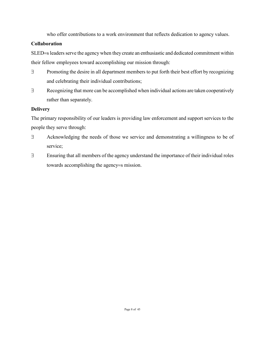who offer contributions to a work environment that reflects dedication to agency values.

# **Collaboration**

SLED=s leaders serve the agency when they create an enthusiastic and dedicated commitment within their fellow employees toward accomplishing our mission through:

- ∃ Promoting the desire in all department members to put forth their best effort by recognizing and celebrating their individual contributions;
- ∃ Recognizing that more can be accomplished when individual actions are taken cooperatively rather than separately.

# **Delivery**

The primary responsibility of our leaders is providing law enforcement and support services to the people they serve through:

- ∃ Acknowledging the needs of those we service and demonstrating a willingness to be of service;
- ∃ Ensuring that all members of the agency understand the importance of their individual roles towards accomplishing the agency=s mission.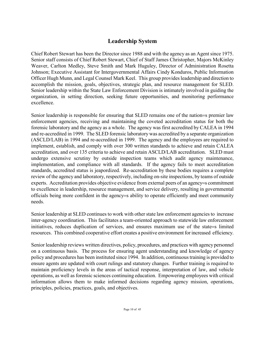# **Leadership System**

Chief Robert Stewart has been the Director since 1988 and with the agency as an Agent since 1975. Senior staff consists of Chief Robert Stewart, Chief of Staff James Christopher, Majors McKinley Weaver, Carlton Medley, Steve Smith and Mark Huguley, Director of Administration Rosetta Johnson; Executive Assistant for Intergovernmental Affairs Cindy Konduros, Public Information Officer Hugh Munn, and Legal Counsel Mark Keel. This group provides leadership and direction to accomplish the mission, goals, objectives, strategic plan, and resource management for SLED. Senior leadership within the State Law Enforcement Division is intimately involved in guiding the organization, in setting direction, seeking future opportunities, and monitoring performance excellence.

Senior leadership is responsible for ensuring that SLED remains one of the nation=s premier law enforcement agencies, receiving and maintaining the coveted accreditation status for both the forensic laboratory and the agency as a whole. The agency was first accredited by CALEA in 1994 and re-accredited in 1999. The SLED forensic laboratory was accredited by a separate organization (ASCLD/LAB) in 1994 and re-accredited in 1999. The agency and the employees are required to implement, establish, and comply with over 300 written standards to achieve and retain CALEA accreditation, and over 135 criteria to achieve and retain ASCLD/LAB accreditation. SLED must undergo extensive scrutiny by outside inspection teams which audit agency maintenance, implementation, and compliance with all standards. If the agency fails to meet accreditation standards, accredited status is jeapordized. Re-accreditation by these bodies requires a complete review of the agency and laboratory, respectively, including on-site inspections, by teams of outside experts. Accreditation provides objective evidence from external peers of an agency=s commitment to excellence in leadership, resource management, and service delivery, resulting in governmental officials being more confident in the agency=s ability to operate efficiently and meet community needs.

Senior leadership at SLED continues to work with other state law enforcement agencies to increase inter-agency coordination. This facilitates a team-oriented approach to statewide law enforcement initiatives, reduces duplication of services, and ensures maximum use of the state=s limited resources. This combined cooperative effort creates a positive environment for increased efficiency.

Senior leadership reviews written directives, policy, procedures, and practices with agency personnel on a continuous basis. The process for ensuring agent understanding and knowledge of agency policy and procedures has been instituted since 1994. In addition, continuous training is provided to ensure agents are updated with court rulings and statutory changes. Further training is required to maintain proficiency levels in the areas of tactical response, interpretation of law, and vehicle operations, as well as forensic sciences continuing education. Empowering employees with critical information allows them to make informed decisions regarding agency mission, operations, principles, policies, practices, goals, and objectives.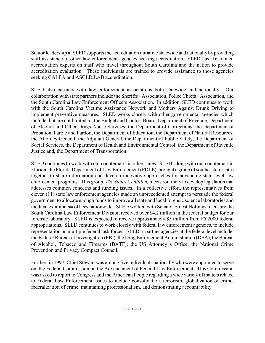Senior leadership at SLED supports the accreditation initiative statewide and nationally by providing staff assistance to other law enforcement agencies seeking accreditation. SLED has 16 trained accreditation experts on staff who travel throughout South Carolina and the nation to provide accreditation evaluation. These individuals are trained to provide assistance to those agencies seeking CALEA and ASCLD/LAB accreditation.

SLED also partners with law enforcement associations both statewide and nationally. Our collaboration with state partners include the Sheriffs= Association, Police Chiefs= Association, and the South Carolina Law Enforcement Officers Association. In addition, SLED continues to work with the South Carolina Victims Assistance Network and Mothers Against Drunk Driving to implement preventive measures. SLED works closely with other governmental agencies which include, but are not limited to, the Budget and Control Board, Department of Revenue, Department of Alcohol and Other Drugs Abuse Services, the Department of Corrections, the Department of Probation, Parole and Pardon, the Department of Education, the Department of Natural Resources, the Attorney General, the Adjutant General, the Department of Public Safety, the Department of Social Services, the Department of Health and Environmental Control, the Department of Juvenile Justice and, the Department of Transportation.

SLED continues to work with our counterparts in other states. SLED, along with our counterpart in Florida, the Florida Department of Law Enforcement (FDLE), brought a group of southeastern states together to share information and develop innovative approaches for advancing state level law enforcement programs. This group, *The States Coalition,* meets routinely to develop legislation that addresses common concerns and funding issues. In a collective effort, the representatives from eleven (11) state law enforcement agencies made an unprecedented attempt to persuade the federal government to allocate enough funds to improve all state and local forensic science laboratories and medical examiners= offices nationwide. SLED worked with Senator Ernest Hollings to ensure the South Carolina Law Enforcement Division received over \$4.2 million in the federal budget for our forensic laboratory. SLED is expected to receive approximately \$5 million from FY2000 federal appropriations. SLED continues to work closely with federal law enforcement agencies, to include representation on multiple federal task forces. SLED=s partner agencies at the federal level include: the Federal Bureau of Investigation (FBI), the Drug Enforcement Administration (DEA), the Bureau of Alcohol, Tobacco and Firearms (BATF); the US Attorney=s Office, the National Crime Prevention and Privacy Compact Council.

Further, in 1997, Chief Stewart was among five individuals nationally who were appointed to serve on the Federal Commission on the Advancement of Federal Law Enforcement. This Commission was asked to report to Congress and the American People regarding a wide variety of matters related to Federal Law Enforcement issues to include consolidation, terrorism, globalization of crime, federalization of crime, maintaining professionalism, and demonstrating accountability.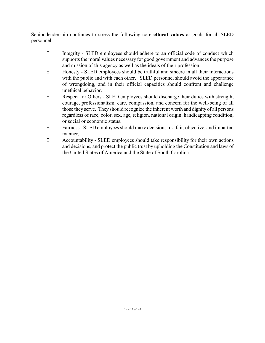Senior leadership continues to stress the following core **ethical values** as goals for all SLED personnel:

- ∃ Integrity SLED employees should adhere to an official code of conduct which supports the moral values necessary for good government and advances the purpose and mission of this agency as well as the ideals of their profession.
- ∃ Honesty SLED employees should be truthful and sincere in all their interactions with the public and with each other. SLED personnel should avoid the appearance of wrongdoing, and in their official capacities should confront and challenge unethical behavior.
- ∃ Respect for Others SLED employees should discharge their duties with strength, courage, professionalism, care, compassion, and concern for the well-being of all those they serve. They should recognize the inherent worth and dignity of all persons regardless of race, color, sex, age, religion, national origin, handicapping condition, or social or economic status.
- ∃ Fairness SLED employees should make decisions in a fair, objective, and impartial manner.
- ∃ Accountability SLED employees should take responsibility for their own actions and decisions, and protect the public trust by upholding the Constitution and laws of the United States of America and the State of South Carolina.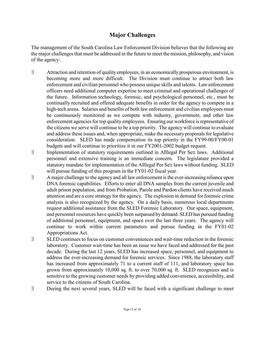# **Major Challenges**

The management of the South Carolina Law Enforcement Division believes that the following are the major challenges that must be addressed in the future to meet the mission, philosophy, and vision of the agency:

- ∃ Attraction and retention of quality employees, in an economically prosperous environment, is becoming more and more difficult. The Division must continue to attract both law enforcement and civilian personnel who possess unique skills and talents. Law enforcement officers need additional computer expertise to meet criminal and operational challenges of the future. Information technology, forensic, and psychological personnel, etc., must be continually recruited and offered adequate benefits in order for the agency to compete in a high-tech arena. Salaries and benefits of both law enforcement and civilian employees must be continuously monitored as we compete with industry, government, and other law enforcement agencies for top quality employees. Ensuring our workforce is representative of the citizens we serve will continue to be a top priority. The agency will continue to evaluate and address these issues and, when appropriate, make the necessary proposals for legislative consideration. SLED has made compensation its top priority in the FY99-00/FY00-01 budgets and will continue to prioritize it in our FY2001-2002 budget request.
- ∃ Implementation of statutory requirements outlined in ΑIllegal Per Se≅ laws. Additional personnel and extensive training is an immediate concern. The legislature provided a statutory mandate for implementation of the Alllegal Per Se≅ laws without funding. SLED will pursue funding of this program in the FY01-02 fiscal year.
- ∃ A major challenge to the agency and all law enforcement is the ever-increasing reliance upon DNA forensic capabilities. Efforts to enter all DNA samples from the current juvenile and adult prison population, and from Probation, Parole and Pardon clients have received much attention and are a core strategy for the agency. The explosion in demand for forensic crime analysis is also recognized by the agency. On a daily basis, numerous local departments request additional assistance from the SLED Forensic Laboratory. Our space, equipment, and personnel resources have quickly been surpassed by demand. SLED has pursued funding of additional personnel, equipment, and space over the last three years. The agency will continue to work within current parameters and pursue funding in the FY01-02 Appropriations Act.
- ∃ SLED continues to focus on customer conveniences and wait-time reduction in the forensic laboratory. Customer wait-time has been an issue we have faced and addressed for the past decade. During the last 12 years, SLED has increased space, personnel, and equipment to address the ever-increasing demand for forensic services. Since 1988, the laboratory staff has increased from approximately 71 to a current staff of 111, and laboratory space has grown from approximately 10,000 sq. ft. to over 70,000 sq. ft. SLED recognizes and is sensitive to the growing customer needs by providing added convenience, accessibility, and service to the citizens of South Carolina.
- ∃ During the next several years, SLED will be faced with a significant challenge to meet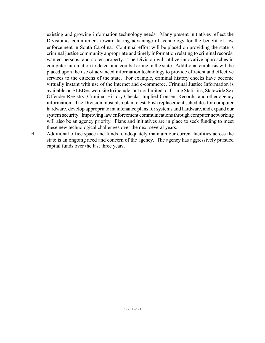existing and growing information technology needs. Many present initiatives reflect the Division=s commitment toward taking advantage of technology for the benefit of law enforcement in South Carolina. Continual effort will be placed on providing the state=s criminal justice community appropriate and timely information relating to criminal records, wanted persons, and stolen property. The Division will utilize innovative approaches in computer automation to detect and combat crime in the state. Additional emphasis will be placed upon the use of advanced information technology to provide efficient and effective services to the citizens of the state. For example, criminal history checks have become virtually instant with use of the Internet and e-commerce. Criminal Justice Information is available on SLED=s web-site to include, but not limited to: Crime Statistics, Statewide Sex Offender Registry, Criminal History Checks, Implied Consent Records, and other agency information. The Division must also plan to establish replacement schedules for computer hardware, develop appropriate maintenance plans for systems and hardware, and expand our system security. Improving law enforcement communications through computer networking will also be an agency priority. Plans and initiatives are in place to seek funding to meet these new technological challenges over the next several years.

state is an ongoing need and concern of the agency. The agency has aggressively pursued

capital funds over the last three years.

∃ Additional office space and funds to adequately maintain our current facilities across the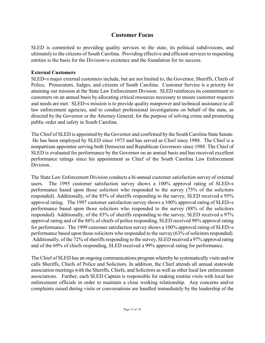# **Customer Focus**

SLED is committed to providing quality services to the state, its political subdivisions, and ultimately to the citizens of South Carolina. Providing effective and efficient services to requesting entities is the basis for the Division=s existence and the foundation for its success.

### **External Customers**

SLED=s major external customers include, but are not limited to, the Governor, Sheriffs, Chiefs of Police, Prosecutors, Judges, and citizens of South Carolina. Customer Service is a priority for attaining our mission at the State Law Enforcement Division. SLED reinforces its commitment to customers on an annual basis by allocating critical resources necessary to ensure customer requests and needs are met. SLED=s mission is to provide quality manpower and technical assistance to all law enforcement agencies, and to conduct professional investigations on behalf of the state, as directed by the Governor or the Attorney General, for the purpose of solving crime and promoting public order and safety in South Carolina.

The Chief of SLED is appointed by the Governor and confirmed by the South Carolina State Senate. He has been employed by SLED since 1975 and has served as Chief since 1988. The Chief is a nonpartisan appointee serving both Democrat and Republican Governors since 1988. The Chief of SLED is evaluated for performance by the Governor on an annual basis and has received excellent performance ratings since his appointment as Chief of the South Carolina Law Enforcement **Division** 

The State Law Enforcement Division conducts a bi-annual customer satisfaction survey of external users. The 1995 customer satisfaction survey shows a 100% approval rating of SLED=s performance based upon those solicitors who responded to the survey (75% of the solicitors responded). Additionally, of the 85% of sheriffs responding to the survey, SLED received a 95% approval rating. The 1997 customer satisfaction survey shows a 100% approval rating of SLED=s performance based upon those solicitors who responded to the survey (88% of the solicitors responded). Additionally, of the 83% of sheriffs responding to the survey, SLED received a 97% approval rating and of the 86% of chiefs of police responding, SLED received 98% approval rating for performance. The 1999 customer satisfaction survey shows a 100% approval rating of SLED=s performance based upon those solicitors who responded to the survey (63% of solicitors responded). Additionally, of the 72% of sheriffs responding to the survey, SLED received a 97% approval rating and of the 69% of chiefs responding, SLED received a 99% approval rating for performance.

The Chief of SLED has an ongoing communications program whereby he systematically visits and/or calls Sheriffs, Chiefs of Police and Solicitors. In addition, the Chief attends all annual statewide association meetings with the Sheriffs, Chiefs, and Solicitors as well as other local law enforcement associations. Further, each SLED Captain is responsible for making routine visits with local law enforcement officials in order to maintain a close working relationship. Any concerns and/or complaints raised during visits or conversations are handled immediately by the leadership of the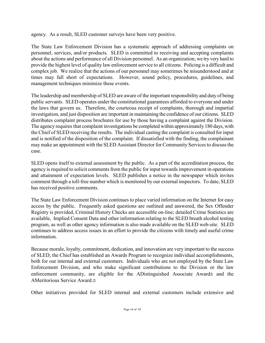agency. As a result, SLED customer surveys have been very positive.

The State Law Enforcement Division has a systematic approach of addressing complaints on personnel, services, and/or products. SLED is committed to receiving and accepting complaints about the actions and performance of all Division personnel. As an organization, we try very hard to provide the highest level of quality law enforcement service to all citizens. Policing is a difficult and complex job. We realize that the actions of our personnel may sometimes be misunderstood and at times may fall short of expectations. However, sound policy, procedures, guidelines, and management techniques minimize these events.

The leadership and membership of SLED are aware of the important responsibility and duty of being public servants. SLED operates under the constitutional guarantees afforded to everyone and under the laws that govern us. Therefore, the courteous receipt of complaints, thorough and impartial investigation, and just disposition are important in maintaining the confidence of our citizens. SLED distributes complaint process brochures for use by those having a complaint against the Division. The agency requires that complaint investigations be completed within approximately 180 days, with the Chief of SLED receiving the results. The individual casting the complaint is consulted for input and is notified of the disposition of the complaint. If dissatisfied with the finding, the complainant may make an appointment with the SLED Assistant Director for Community Services to discuss the case.

SLED opens itself to external assessment by the public. As a part of the accreditation process, the agency is required to solicit comments from the public for input towards improvement in operations and attainment of expectation levels. SLED publishes a notice in the newspaper which invites comment through a toll-free number which is monitored by our external inspectors. To date, SLED has received positive comments.

The State Law Enforcement Division continues to place varied information on the Internet for easy access by the public. Frequently asked questions are outlined and answered, the Sex Offender Registry is provided, Criminal History Checks are accessible on-line; detailed Crime Statistics are available, Implied Consent Data and other information relating to the SLED breath alcohol testing program, as well as other agency information is also made available on the SLED web-site. SLED continues to address access issues in an effort to provide the citizens with timely and useful crime information.

Because morale, loyalty, commitment, dedication, and innovation are very important to the success of SLED, the Chief has established an Awards Program to recognize individual accomplishments, both for our internal and external customers. Individuals who are not employed by the State Law Enforcement Division, and who make significant contributions to the Division or the law enforcement community, are eligible for the ΑDistinguished Associate Award≅ and the AMeritorious Service Award≃

Other initiatives provided for SLED internal and external customers include extensive and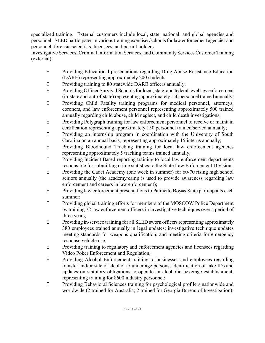specialized training. External customers include local, state, national, and global agencies and personnel. SLED participates in various training exercises/schools for law enforcement agencies and personnel, forensic scientists, licensees, and permit holders.

Investigative Services, Criminal Information Services, and Community Services Customer Training (external):

- ∃ Providing Educational presentations regarding Drug Abuse Resistance Education (DARE) representing approximately 200 students;
- ∃ Providing training to 80 statewide DARE officers annually;
- ∃ Providing Officer Survival Schools for local, state, and federal level law enforcement (in-state and out-of-state) representing approximately 150 personnel trained annually;
- ∃ Providing Child Fatality training programs for medical personnel, attorneys, coroners, and law enforcement personnel representing approximately 500 trained annually regarding child abuse, child neglect, and child death investigations;
- ∃ Providing Polygraph training for law enforcement personnel to receive or maintain certification representing approximately 150 personnel trained/served annually;
- ∃ Providing an internship program in coordination with the University of South Carolina on an annual basis, representing approximately 15 interns annually;
- ∃ Providing Bloodhound Tracking training for local law enforcement agencies representing approximately 5 tracking teams trained annually;
- ∃ Providing Incident Based reporting training to local law enforcement departments responsible for submitting crime statistics to the State Law Enforcement Division;
- ∃ Providing the Cadet Academy (one week in summer) for 60-70 rising high school seniors annually (the academy/camp is used to provide awareness regarding law enforcement and careers in law enforcement);
- ∃ Providing law enforcement presentations to Palmetto Boy=s State participants each summer;
- ∃ Providing global training efforts for members of the MOSCOW Police Department by training 72 law enforcement officers in investigative techniques over a period of three years;
- ∃ Providing in-service training for all SLED sworn officers representing approximately 380 employees trained annually in legal updates; investigative technique updates meeting standards for weapons qualification; and meeting criteria for emergency response vehicle use;
- ∃ Providing training to regulatory and enforcement agencies and licensees regarding Video Poker Enforcement and Regulation;
- ∃ Providing Alcohol Enforcement training to businesses and employees regarding transfer and/or sale of alcohol to under age persons; identification of fake IDs and updates on statutory obligations to operate an alcoholic beverage establishment, representing training for 8600 industry personnel;
- ∃ Providing Behavioral Sciences training for psychological profilers nationwide and worldwide (2 trained for Australia; 2 trained for Georgia Bureau of Investigation);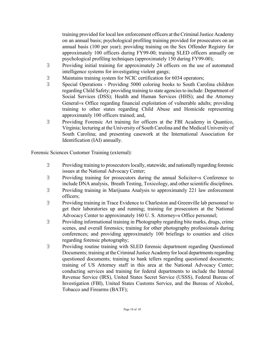training provided for local law enforcement officers at the Criminal Justice Academy on an annual basis; psychological profiling training provided for prosecutors on an annual basis (100 per year); providing training on the Sex Offender Registry for approximately 100 officers during FY99-00; training SLED officers annually on psychological profiling techniques (approximately 150 during FY99-00);

- ∃ Providing initial training for approximately 24 officers on the use of automated intelligence systems for investigating violent gangs;
- ∃ Maintains training system for NCIC certification for 6034 operators;
- ∃ Special Operations Providing 5000 coloring books to South Carolina children regarding Child Safety; providing training to state agencies to include: Department of Social Services (DSS); Health and Human Services (HHS); and the Attorney General=s Office regarding financial exploitation of vulnerable adults; providing training to other states regarding Child Abuse and Homicide representing approximately 100 officers trained; and,
- ∃ Providing Forensic Art training for officers at the FBI Academy in Quantico, Virginia; lecturing at the University of South Carolina and the Medical University of South Carolina; and presenting casework at the International Association for Identification (IAI) annually.

Forensic Sciences Customer Training (external):

- ∃ Providing training to prosecutors locally, statewide, and nationally regarding forensic issues at the National Advocacy Center;
- ∃ Providing training for prosecutors during the annual Solicitor=s Conference to include DNA analysis, Breath Testing, Toxicology, and other scientific disciplines.
- ∃ Providing training in Marijuana Analysis to approximately 221 law enforcement officers;
- ∃ Providing training in Trace Evidence to Charleston and Greenville lab personnel to get their laboratories up and running; training for prosecutors at the National Advocacy Center to approximately 160 U. S. Attorney=s Office personnel;
- ∃ Providing informational training in Photography regarding bite marks, drugs, crime scenes, and overall forensics; training for other photography professionals during conferences; and providing approximately 100 briefings to counties and cities regarding forensic photography;
- ∃ Providing routine training with SLED forensic department regarding Questioned Documents; training at the Criminal Justice Academy for local departments regarding questioned documents; training to bank tellers regarding questioned documents; training of US Attorney staff in this area at the National Advocacy Center; conducting services and training for federal departments to include the Internal Revenue Service (IRS), United States Secret Service (USSS), Federal Bureau of Investigation (FBI), United States Customs Service, and the Bureau of Alcohol, Tobacco and Firearms (BATF);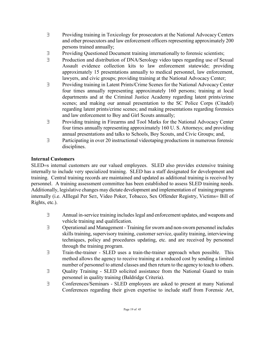- ∃ Providing training in Toxicology for prosecutors at the National Advocacy Centers and other prosecutors and law enforcement officers representing approximately 200 persons trained annually;
- ∃ Providing Questioned Document training internationally to forensic scientists;
- ∃ Production and distribution of DNA/Serology video tapes regarding use of Sexual Assault evidence collection kits to law enforcement statewide; providing approximately 15 presentations annually to medical personnel, law enforcement, lawyers, and civic groups; providing training at the National Advocacy Center;
- ∃ Providing training in Latent Prints/Crime Scenes for the National Advocacy Center four times annually representing approximately 160 persons; training at local departments and at the Criminal Justice Academy regarding latent prints/crime scenes; and making our annual presentation to the SC Police Corps (Citadel) regarding latent prints/crime scenes; and making presentations regarding forensics and law enforcement to Boy and Girl Scouts annually;
- ∃ Providing training in Firearms and Tool Marks for the National Advocacy Center four times annually representing approximately 160 U. S. Attorneys; and providing annual presentations and talks to Schools, Boy Scouts, and Civic Groups; and,
- ∃ Participating in over 20 instructional videotaping productions in numerous forensic disciplines.

# **Internal Customers**

SLED=s internal customers are our valued employees. SLED also provides extensive training internally to include very specialized training. SLED has a staff designated for development and training. Central training records are maintained and updated as additional training is received by personnel. A training assessment committee has been established to assess SLED training needs. Additionally, legislative changes may dictate development and implementation of training programs internally (i.e. ΑIllegal Per Se≅, Video Poker, Tobacco, Sex Offender Registry, Victims= Bill of Rights, etc.).

- ∃ Annual in-service training includes legal and enforcement updates, and weapons and vehicle training and qualification.
- ∃ Operational and Management Training forsworn and non-sworn personnel includes skills training, supervisory training, customer service, quality training, interviewing techniques, policy and procedures updating, etc. and are received by personnel through the training program.
- ∃ Train-the-trainer SLED uses a train-the-trainer approach when possible. This method allows the agency to receive training at a reduced cost by sending a limited number of personnel to attend classes and then return to the agency to teach to others.
- ∃ Quality Training SLED solicited assistance from the National Guard to train personnel in quality training (Baldridge Criteria).
- ∃ Conferences/Seminars SLED employees are asked to present at many National Conferences regarding their given expertise to include staff from Forensic Art,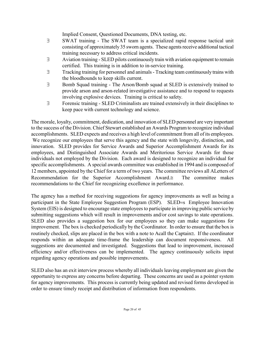Implied Consent, Questioned Documents, DNA testing, etc.

- ∃ SWAT training The SWAT team is a specialized rapid response tactical unit consisting of approximately 35 sworn agents. These agents receive additional tactical training necessary to address critical incidents.
- ∃ Aviation training SLED pilots continuously train with aviation equipment to remain certified. This training is in addition to in-service training.
- ∃ Tracking training for personnel and animals Tracking team continuously trains with the bloodhounds to keep skills current.
- ∃ Bomb Squad training The Arson/Bomb squad at SLED is extensively trained to provide arson and arson-related investigative assistance and to respond to requests involving explosive devices. Training is critical to safety.
- ∃ Forensic training SLED Criminalists are trained extensively in their disciplines to keep pace with current technology and science.

The morale, loyalty, commitment, dedication, and innovation of SLED personnel are very important to the success of the Division. Chief Stewart established an Awards Program to recognize individual accomplishments. SLED expects and receives a high level of commitment from all of its employees. We recognize our employees that serve this agency and the state with longevity, distinction, and innovation. SLED provides for Service Awards and Superior Accomplishment Awards for its employees, and Distinguished Associate Awards and Meritorious Service Awards for those individuals not employed by the Division. Each award is designed to recognize an individual for specific accomplishments. A special awards committee was established in 1994 and is composed of 12 members, appointed by the Chief for a term of two years. The committee reviews all ΑLetters of Recommendation for the Superior Accomplishment Award.≅ The committee makes recommendations to the Chief for recognizing excellence in performance.

The agency has a method for receiving suggestions for agency improvements as well as being a participant in the State Employee Suggestion Program (ESP). SLED=s Employee Innovation System (EIS) is designed to encourage state employees to participate in improving public service by submitting suggestions which will result in improvements and/or cost savings to state operations. SLED also provides a suggestion box for our employees so they can make suggestions for improvement. The box is checked periodically by the Coordinator. In order to ensure that the box is routinely checked, slips are placed in the box with a note to Αcall the Captain≅. If the coordinator responds within an adequate time-frame the leadership can document responsiveness. All suggestions are documented and investigated. Suggestions that lead to improvement, increased efficiency and/or effectiveness can be implemented. The agency continuously solicits input regarding agency operations and possible improvements.

SLED also has an exit interview process whereby all individuals leaving employment are given the opportunity to express any concerns before departing. These concerns are used as a pointer system for agency improvements. This process is currently being updated and revised forms developed in order to ensure timely receipt and distribution of information from respondents.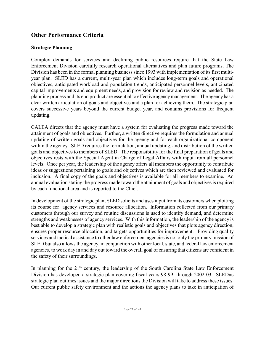# **Other Performance Criteria**

# **Strategic Planning**

Complex demands for services and declining public resources require that the State Law Enforcement Division carefully research operational alternatives and plan future programs. The Division has been in the formal planning business since 1993 with implementation of its first multiyear plan. SLED has a current, multi-year plan which includes long-term goals and operational objectives, anticipated workload and population trends, anticipated personnel levels, anticipated capital improvements and equipment needs, and provision for review and revision as needed. The planning process and its end product are essential to effective agency management. The agency has a clear written articulation of goals and objectives and a plan for achieving them. The strategic plan covers successive years beyond the current budget year, and contains provisions for frequent updating.

CALEA directs that the agency must have a system for evaluating the progress made toward the attainment of goals and objectives. Further, a written directive requires the formulation and annual updating of written goals and objectives for the agency and for each organizational component within the agency. SLED requires the formulation, annual updating, and distribution of the written goals and objectives to members of SLED. The responsibility for the final preparation of goals and objectives rests with the Special Agent in Charge of Legal Affairs with input from all personnel levels. Once per year, the leadership of the agency offers all members the opportunity to contribute ideas or suggestions pertaining to goals and objectives which are then reviewed and evaluated for inclusion. A final copy of the goals and objectives is available for all members to examine. An annual evaluation stating the progress made toward the attainment of goals and objectives is required by each functional area and is reported to the Chief.

In development of the strategic plan, SLED solicits and uses input from its customers when plotting its course for agency services and resource allocation. Information collected from our primary customers through our survey and routine discussions is used to identify demand, and determine strengths and weaknesses of agency services. With this information, the leadership of the agency is best able to develop a strategic plan with realistic goals and objectives that plots agency direction, ensures proper resource allocation, and targets opportunities for improvement. Providing quality services and tactical assistance to other law enforcement agencies is not only the primary mission of SLED but also allows the agency, in conjunction with other local, state, and federal law enforcement agencies, to work day in and day out toward the overall goal of ensuring that citizens are confident in the safety of their surroundings.

In planning for the  $21<sup>st</sup>$  century, the leadership of the South Carolina State Law Enforcement Division has developed a strategic plan covering fiscal years 98-99 through 2002-03. SLED=s strategic plan outlines issues and the major directions the Division will take to address these issues. Our current public safety environment and the actions the agency plans to take in anticipation of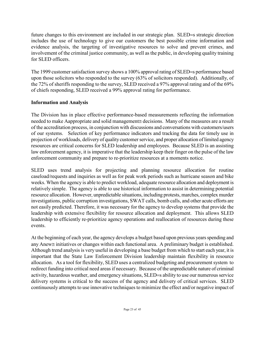future changes to this environment are included in our strategic plan. SLED=s strategic direction includes the use of technology to give our customers the best possible crime information and evidence analysis, the targeting of investigative resources to solve and prevent crimes, and involvement of the criminal justice community, as well as the public, in developing quality training for SLED officers.

The 1999 customer satisfaction survey shows a 100% approval rating of SLED=s performance based upon those solicitors who responded to the survey (63% of solicitors responded). Additionally, of the 72% of sheriffs responding to the survey, SLED received a 97% approval rating and of the 69% of chiefs responding, SLED received a 99% approval rating for performance.

# **Information and Analysis**

The Division has in place effective performance-based measurements reflecting the information needed to make Aappropriate and solid management≅ decisions. Many of the measures are a result of the accreditation process, in conjunction with discussions and conversations with customers/users of our systems. Selection of key performance indicators and tracking the data for timely use in projection of workloads, delivery of quality customer service, and proper allocation of limited agency resources are critical concerns for SLED leadership and employees. Because SLED is an assisting law enforcement agency, it is imperative that the leadership keep their finger on the pulse of the law enforcement community and prepare to re-prioritize resources at a moments notice.

SLED uses trend analysis for projecting and planning resource allocation for routine caseload/requests and inquiries as well as for peak work periods such as hurricane season and bike weeks. When the agency is able to predict workload, adequate resource allocation and deployment is relatively simple. The agency is able to use historical information to assist in determining potential resource allocation. However, unpredictable situations, including protests, marches, complex murder investigations, public corruption investigations, SWAT calls, bomb calls, and other acute efforts are not easily predicted. Therefore, it was necessary for the agency to develop systems that provide the leadership with extensive flexibility for resource allocation and deployment. This allows SLED leadership to efficiently re-prioritize agency operations and reallocation of resources during these events.

At the beginning of each year, the agency develops a budget based upon previous years spending and any Αnew≅ initiatives or changes within each functional area. A preliminary budget is established. Although trend analysis is very useful in developing a base budget from which to start each year, it is important that the State Law Enforcement Division leadership maintain flexibility in resource allocation. As a tool for flexibility, SLED uses a centralized budgeting and procurement system to redirect funding into critical need areas if necessary. Because of the unpredictable nature of criminal activity, hazardous weather, and emergency situations, SLED=s ability to use our numerous service delivery systems is critical to the success of the agency and delivery of critical services. SLED continuously attempts to use innovative techniques to minimize the effect and/or negative impact of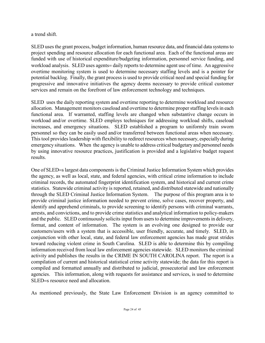a trend shift.

SLED uses the grant process, budget information, human resource data, and financial data systems to project spending and resource allocation for each functional area. Each of the functional areas are funded with use of historical expenditure/budgeting information, personnel service funding, and workload analysis. SLED uses agents= daily reports to determine agent use of time. An aggressive overtime monitoring system is used to determine necessary staffing levels and is a pointer for potential backlog. Finally, the grant process is used to provide critical need and special funding for progressive and innovative initiatives the agency deems necessary to provide critical customer services and remain on the forefront of law enforcement technology and techniques.

SLED uses the daily reporting system and overtime reporting to determine workload and resource allocation. Management monitors caseload and overtime to determine proper staffing levels in each functional area. If warranted, staffing levels are changed when substantive change occurs in workload and/or overtime. SLED employs techniques for addressing workload shifts, caseload increases, and emergency situations. SLED established a program to uniformly train sworn personnel so they can be easily used and/or transferred between functional areas when necessary. This tool provides leadership with flexibility to redirect resources when necessary, especially during emergency situations. When the agency is unable to address critical budgetary and personnel needs by using innovative resource practices, justification is provided and a legislative budget request results.

One of SLED=s largest data components is the Criminal Justice Information System which provides the agency, as well as local, state, and federal agencies, with critical crime information to include criminal records, the automated fingerprint identification system, and historical and current crime statistics. Statewide criminal activity is reported, retained, and distributed statewide and nationally through the SLED Criminal Justice Information System. The purpose of this program area is to provide criminal justice information needed to prevent crime, solve cases, recover property, and identify and apprehend criminals, to provide screening to identify persons with criminal warrants, arrests, and convictions, and to provide crime statistics and analytical information to policy-makers and the public. SLED continuously solicits input from users to determine improvements in delivery, format, and content of information. The system is an evolving one designed to provide our customers/users with a system that is accessible, user friendly, accurate, and timely. SLED, in conjunction with other local, state, and federal law enforcement agencies has made great strides toward reducing violent crime in South Carolina. SLED is able to determine this by compiling information received from local law enforcement agencies statewide. SLED monitors the criminal activity and publishes the results in the CRIME IN SOUTH CAROLINA report. The report is a compilation of current and historical statistical crime activity statewide; the data for this report is compiled and formatted annually and distributed to judicial, prosecutorial and law enforcement agencies. This information, along with requests for assistance and services, is used to determine SLED=s resource need and allocation.

As mentioned previously, the State Law Enforcement Division is an agency committed to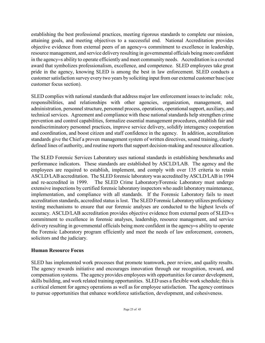establishing the best professional practices, meeting rigorous standards to complete our mission, attaining goals, and meeting objectives to a successful end. National Accreditation provides objective evidence from external peers of an agency=s commitment to excellence in leadership, resource management, and service delivery resulting in governmental officials being more confident in the agency=s ability to operate efficiently and meet community needs. Accreditation is a coveted award that symbolizes professionalism, excellence, and competence. SLED employees take great pride in the agency, knowing SLED is among the best in law enforcement. SLED conducts a customer satisfaction survey every two years by soliciting input from our external customer base (see customer focus section).

SLED complies with national standards that address major law enforcement issues to include: role, responsibilities, and relationships with other agencies, organization, management, and administration, personnel structure, personnel process, operations, operational support, auxiliary, and technical services. Agreement and compliance with these national standards help strengthen crime prevention and control capabilities, formalize essential management procedures, establish fair and nondiscriminatory personnel practices, improve service delivery, solidify interagency cooperation and coordination, and boost citizen and staff confidence in the agency. In addition, accreditation standards give the Chief a proven management system of written directives, sound training, clearly defined lines of authority, and routine reports that support decision-making and resource allocation.

The SLED Forensic Services Laboratory uses national standards in establishing benchmarks and performance indicators. These standards are established by ASCLD/LAB. The agency and the employees are required to establish, implement, and comply with over 135 criteria to retain ASCLD/LAB accreditation. The SLED forensic laboratory was accredited by ASCLD/LAB in 1994 and re-accredited in 1999. The SLED Crime Laboratory/Forensic Laboratory must undergo extensive inspections by certified forensic laboratory inspectors who audit laboratory maintenance, implementation, and compliance with all standards. If the Forensic Laboratory fails to meet accreditation standards, accredited status is lost. The SLED Forensic Laboratory utilizes proficiency testing mechanisms to ensure that our forensic analyses are conducted to the highest levels of accuracy. ASCLD/LAB accreditation provides objective evidence from external peers of SLED=s commitment to excellence in forensic analyses, leadership, resource management, and service delivery resulting in governmental officials being more confident in the agency=s ability to operate the Forensic Laboratory program efficiently and meet the needs of law enforcement, coroners, solicitors and the judiciary.

# **Human Resource Focus**

SLED has implemented work processes that promote teamwork, peer review, and quality results. The agency rewards initiative and encourages innovation through our recognition, reward, and compensation systems. The agency provides employees with opportunities for career development, skills building, and work related training opportunities. SLED uses a flexible work schedule; this is a critical element for agency operations as well as for employee satisfaction. The agency continues to pursue opportunities that enhance workforce satisfaction, development, and cohesiveness.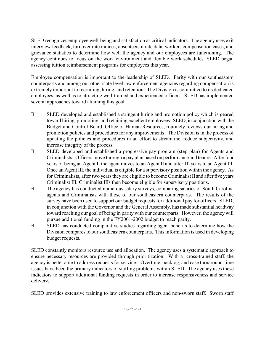SLED recognizes employee well-being and satisfaction as critical indicators. The agency uses exit interview feedback, turnover rate indices, absenteeism rate data, workers compensation cases, and grievance statistics to determine how well the agency and our employees are functioning. The agency continues to focus on the work environment and flexible work schedules. SLED began assessing tuition reimbursement programs for employees this year.

Employee compensation is important to the leadership of SLED. Parity with our southeastern counterparts and among our other state level law enforcement agencies regarding compensation is extremely important to recruiting, hiring, and retention. The Division is committed to its dedicated employees, as well as to attracting well-trained and experienced officers. SLED has implemented several approaches toward attaining this goal.

- ∃ SLED developed and established a stringent hiring and promotion policy which is geared toward hiring, promoting, and retaining excellent employees. SLED, in conjunction with the Budget and Control Board, Office of Human Resources, routinely reviews our hiring and promotion policies and procedures for any improvements. The Division is in the process of updating the policies and procedures in an effort to streamline, reduce subjectivity, and increase integrity of the process.
- ∃ SLED developed and established a progressive pay program (step plan) for Agents and Criminalists. Officers move through a pay plan based on performance and tenure. After four years of being an Agent I; the agent moves to an Agent II and after 10 years to an Agent III. Once an Agent III, the individual is eligible for a supervisory position within the agency. As for Criminalists, after two years they are eligible to become Criminalist II and after five years Criminalist III; Criminalist IIIs then become eligible for supervisory positions.
- ∃ The agency has conducted numerous salary surveys, comparing salaries of South Carolina agents and Criminalists with those of our southeastern counterparts. The results of the survey have been used to support our budget requests for additional pay for officers. SLED, in conjunction with the Governor and the General Assembly, has made substantial headway toward reaching our goal of being in parity with our counterparts. However, the agency will pursue additional funding in the FY2001-2002 budget to reach parity.
- ∃ SLED has conducted comparative studies regarding agent benefits to determine how the Division compares to our southeastern counterparts. This information is used in developing budget requests.

SLED constantly monitors resource use and allocation. The agency uses a systematic approach to ensure necessary resources are provided through prioritization. With a cross-trained staff, the agency is better able to address requests for service. Overtime, backlog, and case turnaround-time issues have been the primary indicators of staffing problems within SLED. The agency uses these indicators to support additional funding requests in order to increase responsiveness and service delivery.

SLED provides extensive training to law enforcement officers and non-sworn staff. Sworn staff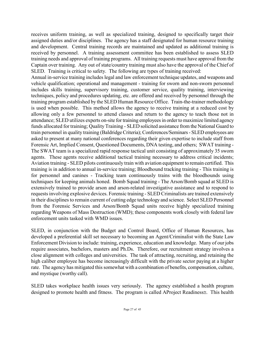receives uniform training, as well as specialized training, designed to specifically target their assigned duties and/or disciplines. The agency has a staff designated for human resource training and development. Central training records are maintained and updated as additional training is received by personnel. A training assessment committee has been established to assess SLED training needs and approval of training programs. All training requests must have approval from the Captain over training. Any out of state/country training must also have the approval of the Chief of SLED. Training is critical to safety. The following are types of training received:

Annual in-service training includes legal and law enforcement technique updates, and weapons and vehicle qualification; operational and management - training for sworn and non-sworn personnel includes skills training, supervisory training, customer service, quality training, interviewing techniques, policy and procedures updating, etc. are offered and received by personnel through the training program established by the SLED Human Resource Office. Train-the-trainer methodology is used when possible. This method allows the agency to receive training at a reduced cost by allowing only a few personnel to attend classes and return to the agency to teach those not in attendance; SLED utilizes experts on-site for training employees in order to maximize limited agency funds allocated for training; Quality Training - SLED solicited assistance from the National Guard to train personnel in quality training (Baldridge Criteria); Conferences/Seminars - SLED employees are asked to present at many national conferences regarding their given expertise to include staff from Forensic Art, Implied Consent, Questioned Documents, DNA testing, and others; SWAT training - The SWAT team is a specialized rapid response tactical unit consisting of approximately 35 sworn agents. These agents receive additional tactical training necessary to address critical incidents; Aviation training - SLED pilots continuously train with aviation equipment to remain certified. This training is in addition to annual in-service training; Bloodhound tracking training - This training is for personnel and canines - Tracking team continuously trains with the bloodhounds using techniques for keeping animals honed. Bomb Squad training - The Arson/Bomb squad at SLED is extensively trained to provide arson and arson-related investigative assistance and to respond to requests involving explosive devices. Forensic training - SLED Criminalists are trained extensively in their disciplines to remain current of cutting edge technology and science. Select SLED Personnel from the Forensic Services and Arson/Bomb Squad units receive highly specialized training regarding Weapons of Mass Destruction (WMD); these components work closely with federal law enforcement units tasked with WMD issues.

SLED, in conjunction with the Budget and Control Board, Office of Human Resources, has developed a preferential skill set necessary to becoming an Agent/Criminalist with the State Law Enforcement Division to include: training, experience, education and knowledge. Many of our jobs require associates, bachelors, masters and Ph.Ds. Therefore, our recruitment strategy involves a close alignment with colleges and universities. The task of attracting, recruiting, and retaining the high caliber employee has become increasingly difficult with the private sector paying at a higher rate. The agency has mitigated this somewhat with a combination of benefits, compensation, culture, and mystique (worthy call).

SLED takes workplace health issues very seriously. The agency established a health program designed to promote health and fitness. The program is called ΑProject Readiness≅. This health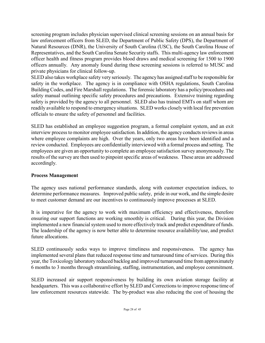screening program includes physician supervised clinical screening sessions on an annual basis for law enforcement officers from SLED, the Department of Public Safety (DPS), the Department of Natural Resources (DNR), the University of South Carolina (USC), the South Carolina House of Representatives, and the South Carolina Senate Security staffs. This multi-agency law enforcement officer health and fitness program provides blood draws and medical screening for 1500 to 1900 officers annually. Any anomaly found during these screening sessions is referred to MUSC and private physicians for clinical follow-up.

SLED also takes workplace safety very seriously. The agency has assigned staff to be responsible for safety in the workplace. The agency is in compliance with OSHA regulations, South Carolina Building Codes, and Fire Marshall regulations. The forensic laboratory has a policy/procedures and safety manual outlining specific safety procedures and precautions. Extensive training regarding safety is provided by the agency to all personnel. SLED also has trained EMTs on staff whom are readily available to respond to emergency situations. SLED works closely with local fire prevention officials to ensure the safety of personnel and facilities.

SLED has established an employee suggestion program, a formal complaint system, and an exit interview process to monitor employee satisfaction. In addition, the agency conducts reviews in areas where employee complaints are high. Over the years, only two areas have been identified and a review conducted. Employees are confidentially interviewed with a formal process and setting. The employees are given an opportunity to complete an employee satisfaction survey anonymously. The results of the survey are then used to pinpoint specific areas of weakness. These areas are addressed accordingly.

# **Process Management**

The agency uses national performance standards, along with customer expectation indices, to determine performance measures. Improved public safety, pride in our work, and the simple desire to meet customer demand are our incentives to continuously improve processes at SLED.

It is imperative for the agency to work with maximum efficiency and effectiveness, therefore ensuring our support functions are working smoothly is critical. During this year, the Division implemented a new financial system used to more effectively track and predict expenditure of funds. The leadership of the agency is now better able to determine resource availability/use, and predict future allocations.

SLED continuously seeks ways to improve timeliness and responsiveness. The agency has implemented several plans that reduced response time and turnaround time of services. During this year, the Toxicology laboratory reduced backlog and improved turnaround time from approximately 6 months to 3 months through streamlining, staffing, instrumentation, and employee commitment.

SLED increased air support responsiveness by building its own aviation storage facility at headquarters. This was a collaborative effort by SLED and Corrections to improve response time of law enforcement resources statewide. The by-product was also reducing the cost of housing the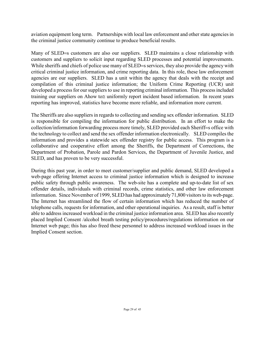aviation equipment long term. Partnerships with local law enforcement and other state agencies in the criminal justice community continue to produce beneficial results.

Many of SLED=s customers are also our suppliers. SLED maintains a close relationship with customers and suppliers to solicit input regarding SLED processes and potential improvements. While sheriffs and chiefs of police use many of SLED=s services, they also provide the agency with critical criminal justice information, and crime reporting data. In this role, these law enforcement agencies are our suppliers. SLED has a unit within the agency that deals with the receipt and compilation of this criminal justice information; the Uniform Crime Reporting (UCR) unit developed a process for our suppliers to use in reporting criminal information. This process included training our suppliers on Ahow to≅ uniformly report incident based information. In recent years reporting has improved, statistics have become more reliable, and information more current.

The Sheriffs are also suppliers in regards to collecting and sending sex offender information. SLED is responsible for compiling the information for public distribution. In an effort to make the collection/information forwarding process more timely, SLED provided each Sheriff=s office with the technology to collect and send the sex offender information electronically. SLED compiles the information and provides a statewide sex offender registry for public access. This program is a collaborative and cooperative effort among the Sheriffs, the Department of Corrections, the Department of Probation, Parole and Pardon Services, the Department of Juvenile Justice, and SLED, and has proven to be very successful.

During this past year, in order to meet customer/supplier and public demand, SLED developed a web-page offering Internet access to criminal justice information which is designed to increase public safety through public awareness. The web-site has a complete and up-to-date list of sex offender details, individuals with criminal records, crime statistics, and other law enforcement information. Since November of 1999, SLED has had approximately 71,800 visitors to its web-page. The Internet has streamlined the flow of certain information which has reduced the number of telephone calls, requests for information, and other operational inquiries. As a result, staff is better able to address increased workload in the criminal justice information area. SLED has also recently placed Implied Consent /alcohol breath testing policy/procedures/regulations information on our Internet web page; this has also freed these personnel to address increased workload issues in the Implied Consent section.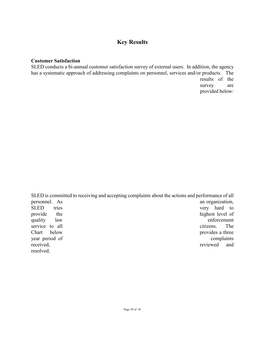# **Key Results**

### **Customer Satisfaction**

SLED conducts a bi-annual customer satisfaction survey of external users. In addition, the agency has a systematic approach of addressing complaints on personnel, services and/or products. The results of the survey are provided below:

SLED is committed to receiving and accepting complaints about the actions and performance of all personnel. As an organization, SLED tries very hard to provide the highest level of quality law enforcement service to all citizens. The Chart below provides a three year period of complaints received, the contract of the contract of the contract of the contract of the contract of the reviewed and reviewed and resolved.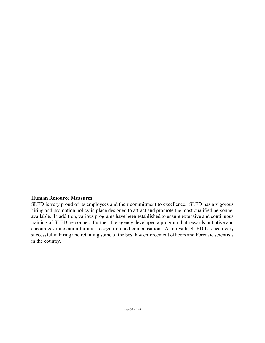#### **Human Resource Measures**

SLED is very proud of its employees and their commitment to excellence. SLED has a vigorous hiring and promotion policy in place designed to attract and promote the most qualified personnel available. In addition, various programs have been established to ensure extensive and continuous training of SLED personnel. Further, the agency developed a program that rewards initiative and encourages innovation through recognition and compensation. As a result, SLED has been very successful in hiring and retaining some of the best law enforcement officers and Forensic scientists in the country.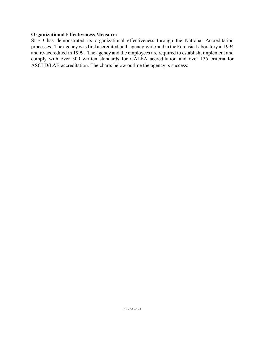#### **Organizational Effectiveness Measures**

SLED has demonstrated its organizational effectiveness through the National Accreditation processes. The agency was first accredited both agency-wide and in the Forensic Laboratory in 1994 and re-accredited in 1999. The agency and the employees are required to establish, implement and comply with over 300 written standards for CALEA accreditation and over 135 criteria for ASCLD/LAB accreditation. The charts below outline the agency=s success: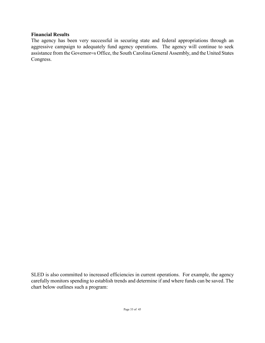### **Financial Results**

The agency has been very successful in securing state and federal appropriations through an aggressive campaign to adequately fund agency operations. The agency will continue to seek assistance from the Governor=s Office, the South Carolina General Assembly, and the United States Congress.

SLED is also committed to increased efficiencies in current operations. For example, the agency carefully monitors spending to establish trends and determine if and where funds can be saved. The chart below outlines such a program: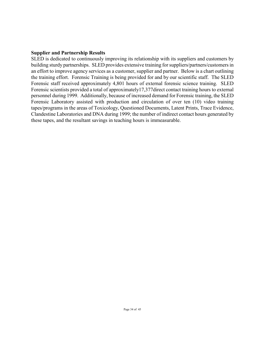#### **Supplier and Partnership Results**

SLED is dedicated to continuously improving its relationship with its suppliers and customers by building sturdy partnerships. SLED provides extensive training for suppliers/partners/customers in an effort to improve agency services as a customer, supplier and partner. Below is a chart outlining the training effort. Forensic Training is being provided for and by our scientific staff. The SLED Forensic staff received approximately 4,801 hours of external forensic science training. SLED Forensic scientists provided a total of approximately17,377direct contact training hours to external personnel during 1999. Additionally, because of increased demand for Forensic training, the SLED Forensic Laboratory assisted with production and circulation of over ten (10) video training tapes/programs in the areas of Toxicology, Questioned Documents, Latent Prints, Trace Evidence, Clandestine Laboratories and DNA during 1999; the number of indirect contact hours generated by these tapes, and the resultant savings in teaching hours is immeasurable.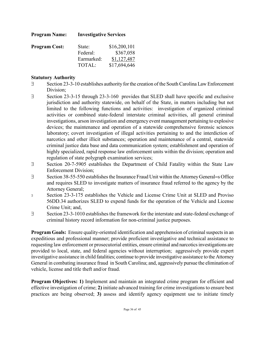| <b>Program Name:</b> | <b>Investigative Services</b> |              |
|----------------------|-------------------------------|--------------|
| <b>Program Cost:</b> | State:                        | \$16,200,101 |
|                      | Federal:                      | \$367,058    |
|                      | Earmarked:                    | \$1,127,487  |
|                      | TOTAL:                        | \$17,694,646 |

# **Statutory Authority**

- ∃ Section 23-3-10 establishes authority for the creation of the South Carolina Law Enforcement Division;
- ∃ Section 23-3-15 through 23-3-160 provides that SLED shall have specific and exclusive jurisdiction and authority statewide, on behalf of the State, in matters including but not limited to the following functions and activities: investigation of organized criminal activities or combined state-federal interstate criminal activities, all general criminal investigations, arson investigation and emergency event management pertaining to explosive devices; the maintenance and operation of a statewide comprehensive forensic sciences laboratory; covert investigation of illegal activities pertaining to and the interdiction of narcotics and other illicit substances; operation and maintenance of a central, statewide criminal justice data base and data communication system; establishment and operation of highly specialized, rapid response law enforcement units within the division; operation and regulation of state polygraph examination services;
- ∃ Section 20-7-5905 establishes the Department of Child Fatality within the State Law Enforcement Division;
- ∃ Section 38-55-550 establishes the Insurance Fraud Unit within the Attorney General=s Office and requires SLED to investigate matters of insurance fraud referred to the agency by the Attorney General;
- <sup>∃</sup> Section 23-3-175 establishes the Vehicle and License Crime Unit at SLED and Proviso 56DD.34 authorizes SLED to expend funds for the operation of the Vehicle and License Crime Unit; and,
- ∃ Section 23-3-1010 establishes the framework for the interstate and state-federal exchange of criminal history record information for non-criminal justice purposes.

**Program Goals:** Ensure quality-oriented identification and apprehension of criminal suspects in an expeditious and professional manner; provide proficient investigative and technical assistance to requesting law enforcement or prosecutorial entities, ensure criminal and narcotics investigations are provided to local, state, and federal agencies without interruption; aggressively provide expert investigative assistance in child fatalities; continue to provide investigative assistance to the Attorney General in combating insurance fraud in South Carolina; and, aggressively pursue the elimination of vehicle, license and title theft and/or fraud.

**Program Objectives: 1)** Implement and maintain an integrated crime program for efficient and effective investigation of crime; **2)** initiate advanced training for crime investigations to ensure best practices are being observed; **3)** assess and identify agency equipment use to initiate timely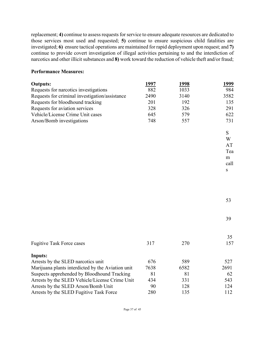replacement; **4)** continue to assess requests for service to ensure adequate resources are dedicated to those services most used and requested; **5)** continue to ensure suspicious child fatalities are investigated; **6)** ensure tactical operations are maintained for rapid deployment upon request; and **7)** continue to provide covert investigation of illegal activities pertaining to and the interdiction of narcotics and other illicit substances and **8)** work toward the reduction of vehicle theft and/or fraud;

### **Performance Measures:**

| <b>Outputs:</b>                                   | 1997 | 1998 | 1999 |
|---------------------------------------------------|------|------|------|
| Requests for narcotics investigations             | 882  | 1033 | 984  |
| Requests for criminal investigation/assistance    | 2490 | 3140 | 3582 |
| Requests for bloodhound tracking                  | 201  | 192  | 135  |
| Requests for aviation services                    | 328  | 326  | 291  |
| Vehicle/License Crime Unit cases                  | 645  | 579  | 622  |
| Arson/Bomb investigations                         | 748  | 557  | 731  |
|                                                   |      |      | S    |
|                                                   |      |      | W    |
|                                                   |      |      | AT   |
|                                                   |      |      | Tea  |
|                                                   |      |      | m    |
|                                                   |      |      | call |
|                                                   |      |      | S    |
|                                                   |      |      |      |
|                                                   |      |      |      |
|                                                   |      |      | 53   |
|                                                   |      |      |      |
|                                                   |      |      | 39   |
|                                                   |      |      | 35   |
| <b>Fugitive Task Force cases</b>                  | 317  | 270  | 157  |
| <b>Inputs:</b>                                    |      |      |      |
| Arrests by the SLED narcotics unit                | 676  | 589  | 527  |
| Marijuana plants interdicted by the Aviation unit | 7638 | 6582 | 2691 |
| Suspects apprehended by Bloodhound Tracking       | 81   | 81   | 62   |
| Arrests by the SLED Vehicle/License Crime Unit    | 434  | 331  | 543  |
| Arrests by the SLED Arson/Bomb Unit               | 90   | 128  | 124  |
| Arrests by the SLED Fugitive Task Force           | 280  | 135  | 112  |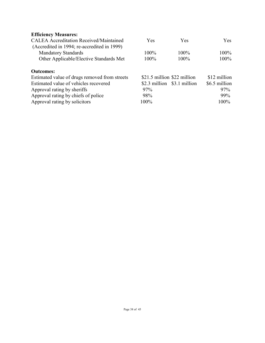# **Efficiency Measures:**

| Yes  | <b>Yes</b> | Yes.                                                       |
|------|------------|------------------------------------------------------------|
|      |            |                                                            |
| 100% | $100\%$    | $100\%$                                                    |
| 100% | 100%       | $100\%$                                                    |
|      |            |                                                            |
|      |            | \$12 million                                               |
|      |            | \$6.5 million                                              |
| 97%  |            | 97%                                                        |
| 98%  |            | 99%                                                        |
| 100% |            | 100%                                                       |
|      |            | \$21.5 million \$22 million<br>\$2.3 million \$3.1 million |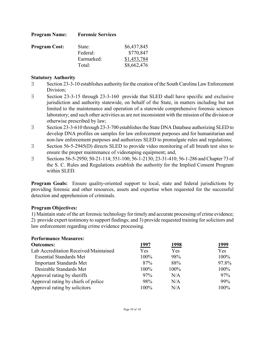| <b>Program Name:</b> | <b>Forensic Services</b> |
|----------------------|--------------------------|
|----------------------|--------------------------|

| <b>Program Cost:</b> | State:     | \$6,437,845 |
|----------------------|------------|-------------|
|                      | Federal:   | \$770,847   |
|                      | Earmarked: | \$1,453,784 |
|                      | Total:     | \$8,662,476 |

#### **Statutory Authority**

- ∃ Section 23-3-10 establishes authority for the creation of the South Carolina Law Enforcement Division;
- ∃ Section 23-3-15 through 23-3-160 provide that SLED shall have specific and exclusive jurisdiction and authority statewide, on behalf of the State, in matters including but not limited to the maintenance and operation of a statewide comprehensive forensic sciences laboratory; and such other activities as are not inconsistent with the mission of the division or otherwise prescribed by law;
- ∃ Section 23-3-610 through 23-3-700 establishes the State DNA Database authorizing SLED to develop DNA profiles on samples for law enforcement purposes and for humanitarian and non-law enforcement purposes and authorizes SLED to promulgate rules and regulations;
- ∃ Section 56-5-2945(D) directs SLED to provide video monitoring of all breath test sites to ensure the proper maintenance of videotaping equipment; and,
- ∃ Sections 56-5-2950; 50-21-114; 551-100; 56-1-2130; 23-31-410; 56-1-286 and Chapter 73 of the S. C. Rules and Regulations establish the authority for the Implied Consent Program within SLED.

**Program Goals:** Ensure quality-oriented support to local, state and federal jurisdictions by providing forensic and other resources, assets and expertise when requested for the successful detection and apprehension of criminals.

### **Program Objectives:**

1) Maintain state of the art forensic technology for timely and accurate processing of crime evidence; 2) provide expert testimony to support findings; and 3) provide requested training for solicitors and law enforcement regarding crime evidence processing.

| <b>Performance Measures:</b>          |               |              |       |
|---------------------------------------|---------------|--------------|-------|
| <b>Outcomes:</b>                      | <u> 1997 </u> | <u> 1998</u> | 1999  |
| Lab Accreditation Received/Maintained | Yes           | Yes          | Yes   |
| <b>Essential Standards Met</b>        | 100%          | 98%          | 100%  |
| <b>Important Standards Met</b>        | 87%           | 88%          | 97.8% |
| Desirable Standards Met               | 100%          | 100%         | 100%  |
| Approval rating by sheriffs           | 97%           | N/A          | 97%   |
| Approval rating by chiefs of police   | 98%           | N/A          | 99%   |
| Approval rating by solicitors         | $100\%$       | N/A          | 100%  |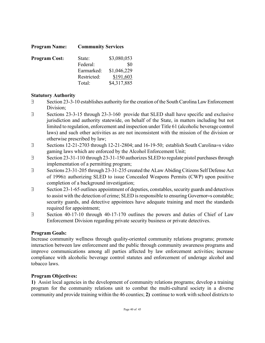| <b>Program Name:</b> | <b>Community Services</b> |             |  |
|----------------------|---------------------------|-------------|--|
| <b>Program Cost:</b> | State:                    | \$3,080,053 |  |
|                      | Federal:                  | \$0         |  |
|                      | Earmarked:                | \$1,046,229 |  |
|                      | Restricted:               | \$191,603   |  |
|                      | Total:                    | \$4,317,885 |  |

# **Statutory Authority**

- ∃ Section 23-3-10 establishes authority for the creation of the South Carolina Law Enforcement Division;
- ∃ Sections 23-3-15 through 23-3-160 provide that SLED shall have specific and exclusive jurisdiction and authority statewide, on behalf of the State, in matters including but not limited to regulation, enforcement and inspection under Title 61 (alcoholic beverage control laws) and such other activities as are not inconsistent with the mission of the division or otherwise prescribed by law;
- ∃ Sections 12-21-2703 through 12-21-2804; and 16-19-50; establish South Carolina=s video gaming laws which are enforced by the Alcohol Enforcement Unit;
- ∃ Section 23-31-110 through 23-31-150 authorizes SLED to regulate pistol purchases through implementation of a permitting program;
- ∃ Sections 23-31-205 through 23-31-235 created the ΑLaw Abiding Citizens Self Defense Act of 1996≅ authorizing SLED to issue Concealed Weapons Permits (CWP) upon positive completion of a background investigation;
- ∃ Section 23-1-65 outlines appointment of deputies, constables, security guards and detectives to assist with the detection of crime; SLED is responsible to ensuring Governor=s constable; security guards, and detective appointees have adequate training and meet the standards required for appointment;
- ∃ Section 40-17-10 through 40-17-170 outlines the powers and duties of Chief of Law Enforcement Division regarding private security business or private detectives.

### **Program Goals:**

Increase community wellness through quality-oriented community relations programs; promote interaction between law enforcement and the public through community awareness programs and improve communications among all parties affected by law enforcement activities; increase compliance with alcoholic beverage control statutes and enforcement of underage alcohol and tobacco laws.

### **Program Objectives:**

**1)** Assist local agencies in the development of community relations programs; develop a training program for the community relations unit to combat the multi-cultural society in a diverse community and provide training within the 46 counties; **2)** continue to work with school districts to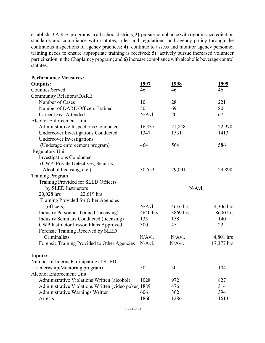establish D.A.R.E. programs in all school districts; **3)** pursue compliance with rigorous accreditation standards and compliance with statutes, rules and regulations, and agency policy through the continuous inspections of agency practices; **4)** continue to assess and monitor agency personnel training needs to ensure appropriate training is received; **5)** actively pursue increased volunteer participation in the Chaplaincy program; and **6)** increase compliance with alcoholic beverage control statutes.

| <b>Performance Measures:</b>                         |          |              |            |
|------------------------------------------------------|----------|--------------|------------|
| <b>Outputs:</b>                                      | 1997     | <u> 1998</u> | 1999       |
| <b>Counties Served</b>                               | 46       | 46           | 46         |
| <b>Community Relations/DARE</b>                      |          |              |            |
| Number of Cases                                      | 10       | 28           | 221        |
| Number of DARE Officers Trained                      | 50       | 69           | 80         |
| <b>Career Days Attended</b>                          | N/Avl.   | 20           | 67         |
| Alcohol Enforcement Unit                             |          |              |            |
| Administrative Inspections Conducted                 | 16,837   | 21,848       | 22,970     |
| <b>Undercover Investigations Conducted</b>           | 1347     | 1531         | 1413       |
| <b>Undercover Investigations</b>                     |          |              |            |
| (Underage enforcement program)                       | 464      | 564          | 586        |
| <b>Regulatory Unit</b>                               |          |              |            |
| <b>Investigations Conducted</b>                      |          |              |            |
| (CWP, Private Detectives, Security,                  |          |              |            |
| Alcohol licensing, etc.)                             | 30,553   | 29,001       | 29,890     |
| <b>Training Program</b>                              |          |              |            |
| Training Provided for SLED Officers                  |          |              |            |
| by SLED Instructors                                  |          | N/Avl.       |            |
| 20,028 hrs<br>22,619 hrs                             |          |              |            |
| Training Provided for Other Agencies                 |          |              |            |
| (officers)                                           | N/Avl.   | 4616 hrs     | 4,306 hrs  |
| <b>Industry Personnel Trained (licensing)</b>        | 4640 hrs | 3869 hrs     | 8600 hrs   |
| <b>Industry Seminars Conducted (licensing)</b>       | 135      | 158          | 140        |
| <b>CWP Instructor Lesson Plans Approved</b>          | 300      | 45           | 22         |
| Forensic Training Received by SLED                   |          |              |            |
| Criminalists                                         | N/Avl.   | N/Avl.       | 4,801 hrs  |
| Forensic Training Provided to Other Agencies         | N/Avl.   | N/Avl.       | 17,377 hrs |
| <b>Inputs:</b>                                       |          |              |            |
| Number of Interns Participating at SLED              |          |              |            |
| (Internship/Mentoring program)                       | 50       | 50           | 104        |
| Alcohol Enforcement Unit                             |          |              |            |
| Administrative Violations Written (alcohol)          | 1028     | 972          | 827        |
| Administrative Violations Written (video poker) 1889 |          | 476          | 314        |
| Administrative Warnings Written                      | 606      | 362          | 394        |
| Arrests                                              | 1860     | 1286         | 1613       |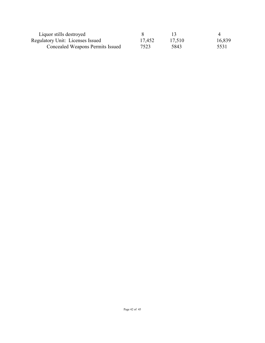| Liquor stills destroyed                 |        |        |        |
|-----------------------------------------|--------|--------|--------|
| <b>Regulatory Unit: Licenses Issued</b> | 17,452 | 17,510 | 16,839 |
| <b>Concealed Weapons Permits Issued</b> | 7523   | 5843   | 5531   |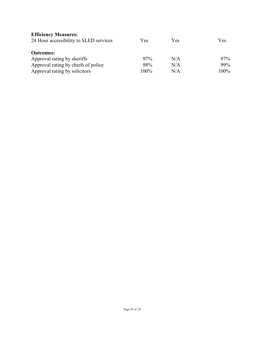| <b>Efficiency Measures:</b>            |         |     |      |
|----------------------------------------|---------|-----|------|
| 24 Hour accessibility to SLED services | Yes     | Yes | Yes  |
| <b>Outcomes:</b>                       |         |     |      |
| Approval rating by sheriffs            | 97%     | N/A | 97%  |
| Approval rating by chiefs of police    | 98%     | N/A | 99%  |
| Approval rating by solicitors          | $100\%$ | N/A | 100% |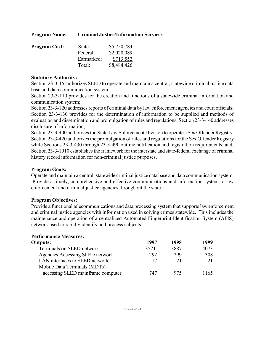| <b>Program Name:</b> | <b>Criminal Justice/Information Services</b> |             |  |
|----------------------|----------------------------------------------|-------------|--|
| <b>Program Cost:</b> | State:                                       | \$5,750,784 |  |
|                      | Federal:                                     | \$2,020,089 |  |
|                      | Earmarked:                                   | \$713,552   |  |
|                      | Total:                                       | \$8,484,426 |  |

### **Statutory Authority:**

Section 23-3-15 authorizes SLED to operate and maintain a central, statewide criminal justice data base and data communication system;

Section 23-3-110 provides for the creation and functions of a statewide criminal information and communication system;

Section 23-3-120 addresses reports of criminal data by law enforcement agencies and court officials; Section 23-3-130 provides for the determination of information to be supplied and methods of evaluation and dissemination and promulgation of rules and regulations; Section 23-3-140 addresses disclosure of information;

Section 23-3-400 authorizes the State Law Enforcement Division to operate a Sex Offender Registry. Section 23-3-420 authorizes the promulgation of rules and regulations for the Sex Offender Registry while Sections 23-3-430 through 23-3-490 outline notification and registration requirements; and, Section 23-3-1010 establishes the framework for the interstate and state-federal exchange of criminal history record information for non-criminal justice purposes.

### **Program Goals:**

Operate and maintain a central, statewide criminal justice data base and data communication system. Provide a timely, comprehensive and effective communications and information system to law enforcement and criminal justice agencies throughout the state.

### **Program Objectives:**

Provide a functional telecommunications and data processing system that supports law enforcement and criminal justice agencies with information used in solving crimes statewide. This includes the maintenance and operation of a centralized Automated Fingerprint Identification System (AFIS) network used to rapidly identify and process subjects.

| <b>Performance Measures:</b>      |      |      |              |
|-----------------------------------|------|------|--------------|
| <b>Outputs:</b>                   | 1997 | 1998 | <u> 1999</u> |
| Terminals on SLED network         | 3521 | 3887 | 4073         |
| Agencies Accessing SLED network   | 292  | 299  | 308          |
| LAN interfaces to SLED network    | 17   | 21   |              |
| Mobile Data Terminals (MDTs)      |      |      |              |
| accessing SLED mainframe computer | 747  | 975  | 1165         |